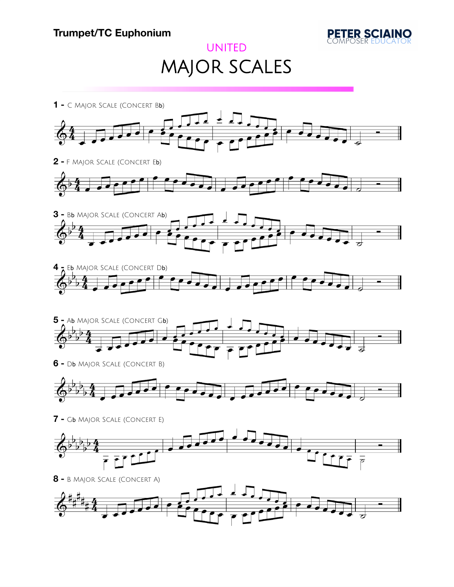

## UNITED MAJOR SCALES